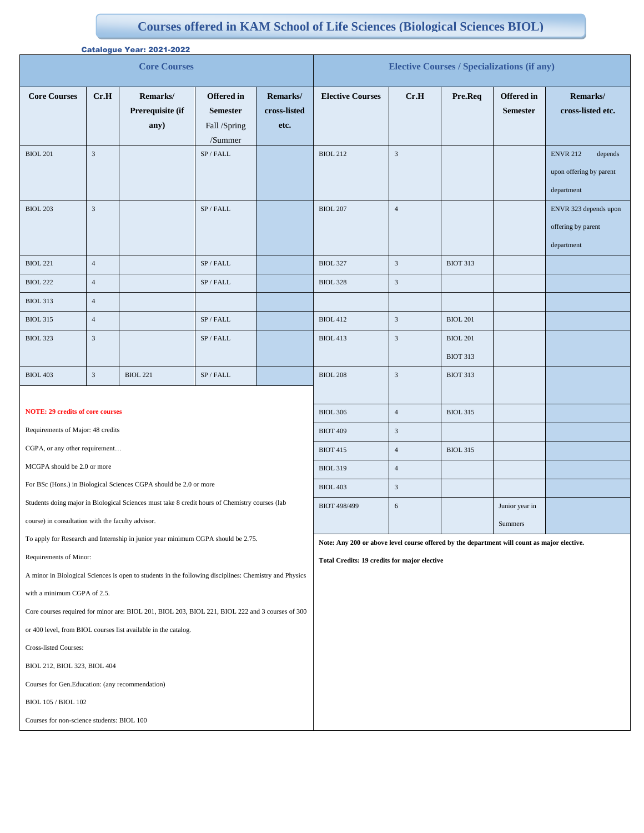## **Courses offered in KAM School of Life Sciences (Biological Sciences BIOL)**

|                                                                                                        | Catalogue Year: 2021-2022 |                                      |                                                                 |                                                                                             |                                                    |                |                 |                               |                                                                     |
|--------------------------------------------------------------------------------------------------------|---------------------------|--------------------------------------|-----------------------------------------------------------------|---------------------------------------------------------------------------------------------|----------------------------------------------------|----------------|-----------------|-------------------------------|---------------------------------------------------------------------|
| <b>Core Courses</b>                                                                                    |                           |                                      |                                                                 |                                                                                             | <b>Elective Courses / Specializations (if any)</b> |                |                 |                               |                                                                     |
| <b>Core Courses</b>                                                                                    | Cr.H                      | Remarks/<br>Prerequisite (if<br>any) | <b>Offered</b> in<br><b>Semester</b><br>Fall /Spring<br>/Summer | Remarks/<br>cross-listed<br>etc.                                                            | <b>Elective Courses</b>                            | Cr.H           | Pre.Req         | Offered in<br><b>Semester</b> | Remarks/<br>cross-listed etc.                                       |
| <b>BIOL 201</b>                                                                                        | $\sqrt{3}$                |                                      | SP / FALL                                                       |                                                                                             | <b>BIOL 212</b>                                    | $\sqrt{3}$     |                 |                               | <b>ENVR 212</b><br>depends<br>upon offering by parent<br>department |
| <b>BIOL 203</b>                                                                                        | $\overline{3}$            |                                      | SP / FALL                                                       |                                                                                             | <b>BIOL 207</b>                                    | $\overline{4}$ |                 |                               | ENVR 323 depends upon<br>offering by parent<br>department           |
| <b>BIOL 221</b>                                                                                        | $\overline{4}$            |                                      | SP / FALL                                                       |                                                                                             | <b>BIOL 327</b>                                    | $\mathfrak{Z}$ | <b>BIOT 313</b> |                               |                                                                     |
| <b>BIOL 222</b>                                                                                        | $\overline{4}$            |                                      | SP / FALL                                                       |                                                                                             | <b>BIOL 328</b>                                    | $\mathfrak{Z}$ |                 |                               |                                                                     |
| <b>BIOL 313</b>                                                                                        | $\sqrt{4}$                |                                      |                                                                 |                                                                                             |                                                    |                |                 |                               |                                                                     |
| <b>BIOL 315</b>                                                                                        | $\sqrt{4}$                |                                      | SP / FALL                                                       |                                                                                             | <b>BIOL 412</b>                                    | $\mathfrak{Z}$ | <b>BIOL 201</b> |                               |                                                                     |
| <b>BIOL 323</b>                                                                                        | $\sqrt{3}$                |                                      | SP / FALL                                                       |                                                                                             | <b>BIOL 413</b>                                    | $\sqrt{3}$     | <b>BIOL 201</b> |                               |                                                                     |
|                                                                                                        |                           |                                      |                                                                 |                                                                                             |                                                    |                | <b>BIOT 313</b> |                               |                                                                     |
| <b>BIOL 403</b>                                                                                        | $\sqrt{3}$                | <b>BIOL 221</b>                      | $\mathrm{SP}$ / FALL                                            |                                                                                             | <b>BIOL 208</b>                                    | $\mathfrak{Z}$ | <b>BIOT 313</b> |                               |                                                                     |
|                                                                                                        |                           |                                      |                                                                 |                                                                                             |                                                    |                |                 |                               |                                                                     |
| <b>NOTE: 29 credits of core courses</b>                                                                |                           |                                      |                                                                 |                                                                                             | <b>BIOL 306</b>                                    | $\overline{4}$ | <b>BIOL 315</b> |                               |                                                                     |
| Requirements of Major: 48 credits                                                                      |                           |                                      |                                                                 |                                                                                             | <b>BIOT 409</b>                                    | $\mathfrak{Z}$ |                 |                               |                                                                     |
| CGPA, or any other requirement                                                                         |                           |                                      |                                                                 |                                                                                             | <b>BIOT 415</b>                                    | $\overline{4}$ | <b>BIOL 315</b> |                               |                                                                     |
| MCGPA should be 2.0 or more                                                                            |                           |                                      |                                                                 |                                                                                             | <b>BIOL 319</b>                                    | $\overline{4}$ |                 |                               |                                                                     |
| For BSc (Hons.) in Biological Sciences CGPA should be 2.0 or more                                      |                           |                                      |                                                                 |                                                                                             | <b>BIOL 403</b>                                    | $\mathfrak{Z}$ |                 |                               |                                                                     |
| Students doing major in Biological Sciences must take 8 credit hours of Chemistry courses (lab         |                           |                                      |                                                                 |                                                                                             | <b>BIOT 498/499</b>                                | $\sqrt{6}$     |                 | Junior year in                |                                                                     |
| course) in consultation with the faculty advisor.                                                      |                           |                                      |                                                                 |                                                                                             |                                                    |                |                 | Summers                       |                                                                     |
| To apply for Research and Internship in junior year minimum CGPA should be 2.75.                       |                           |                                      |                                                                 | Note: Any 200 or above level course offered by the department will count as major elective. |                                                    |                |                 |                               |                                                                     |
| Requirements of Minor:                                                                                 |                           |                                      |                                                                 | Total Credits: 19 credits for major elective                                                |                                                    |                |                 |                               |                                                                     |
| A minor in Biological Sciences is open to students in the following disciplines: Chemistry and Physics |                           |                                      |                                                                 |                                                                                             |                                                    |                |                 |                               |                                                                     |
| with a minimum CGPA of 2.5.                                                                            |                           |                                      |                                                                 |                                                                                             |                                                    |                |                 |                               |                                                                     |
| Core courses required for minor are: BIOL 201, BIOL 203, BIOL 221, BIOL 222 and 3 courses of 300       |                           |                                      |                                                                 |                                                                                             |                                                    |                |                 |                               |                                                                     |
| or 400 level, from BIOL courses list available in the catalog.                                         |                           |                                      |                                                                 |                                                                                             |                                                    |                |                 |                               |                                                                     |
| Cross-listed Courses:                                                                                  |                           |                                      |                                                                 |                                                                                             |                                                    |                |                 |                               |                                                                     |
| BIOL 212, BIOL 323, BIOL 404                                                                           |                           |                                      |                                                                 |                                                                                             |                                                    |                |                 |                               |                                                                     |
| Courses for Gen.Education: (any recommendation)                                                        |                           |                                      |                                                                 |                                                                                             |                                                    |                |                 |                               |                                                                     |

BIOL 105 / BIOL 102

Courses for non-science students: BIOL 100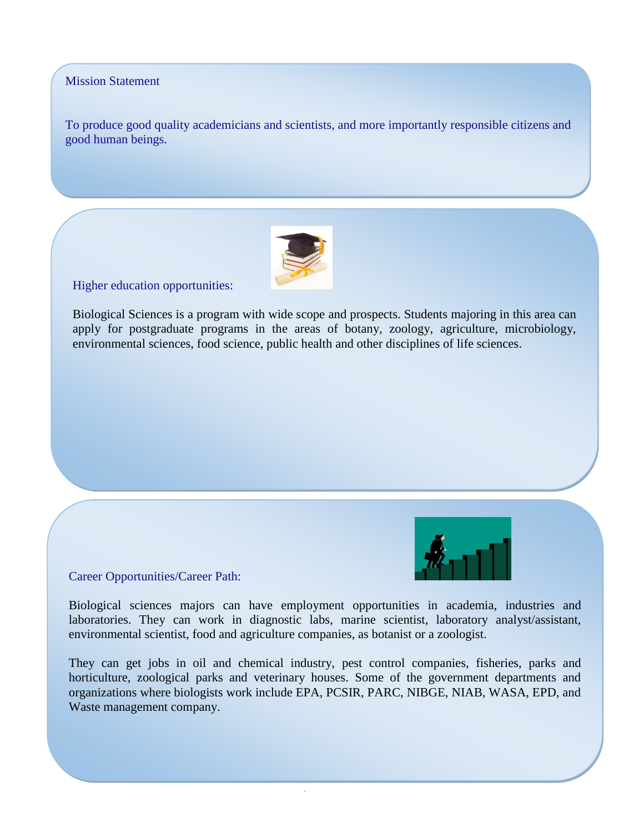## Mission Statement

To produce good quality academicians and scientists, and more importantly responsible citizens and good human beings.



Higher education opportunities:

Biological Sciences is a program with wide scope and prospects. Students majoring in this area can apply for postgraduate programs in the areas of botany, zoology, agriculture, microbiology, environmental sciences, food science, public health and other disciplines of life sciences.



Career Opportunities/Career Path:

Biological sciences majors can have employment opportunities in academia, industries and laboratories. They can work in diagnostic labs, marine scientist, laboratory analyst/assistant, environmental scientist, food and agriculture companies, as botanist or a zoologist.

They can get jobs in oil and chemical industry, pest control companies, fisheries, parks and horticulture, zoological parks and veterinary houses. Some of the government departments and organizations where biologists work include EPA, PCSIR, PARC, NIBGE, NIAB, WASA, EPD, and Waste management company.

.